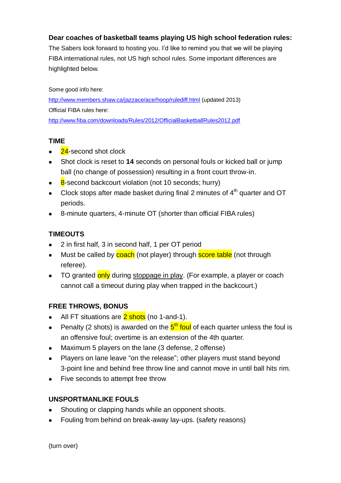### **Dear coaches of basketball teams playing US high school federation rules:**

The Sabers look forward to hosting you. I'd like to remind you that we will be playing FIBA international rules, not US high school rules. Some important differences are highlighted below.

Some good info here: <http://www.members.shaw.ca/jazzace/ace/hoop/rulediff.html> (updated 2013) Official FIBA rules here: <http://www.fiba.com/downloads/Rules/2012/OfficialBasketballRules2012.pdf>

### **TIME**

- 24-second shot clock
- Shot clock is reset to **14** seconds on personal fouls or kicked ball or jump ball (no change of possession) resulting in a front court throw-in.
- 8-second backcourt violation (not 10 seconds; hurry)
- Clock stops after made basket during final 2 minutes of  $4<sup>th</sup>$  quarter and OT periods.
- 8-minute quarters, 4-minute OT (shorter than official FIBA rules)

## **TIMEOUTS**

- 2 in first half, 3 in second half, 1 per OT period
- Must be called by coach (not player) through score table (not through referee).
- TO granted only during stoppage in play. (For example, a player or coach cannot call a timeout during play when trapped in the backcourt.)

## **FREE THROWS, BONUS**

- All FT situations are 2 shots (no 1-and-1).
- Penalty (2 shots) is awarded on the  $5<sup>th</sup>$  foul of each quarter unless the foul is an offensive foul; overtime is an extension of the 4th quarter.
- Maximum 5 players on the lane (3 defense, 2 offense)
- Players on lane leave "on the release"; other players must stand beyond 3-point line and behind free throw line and cannot move in until ball hits rim.
- Five seconds to attempt free throw

### **UNSPORTMANLIKE FOULS**

- Shouting or clapping hands while an opponent shoots.
- Fouling from behind on break-away lay-ups. (safety reasons)